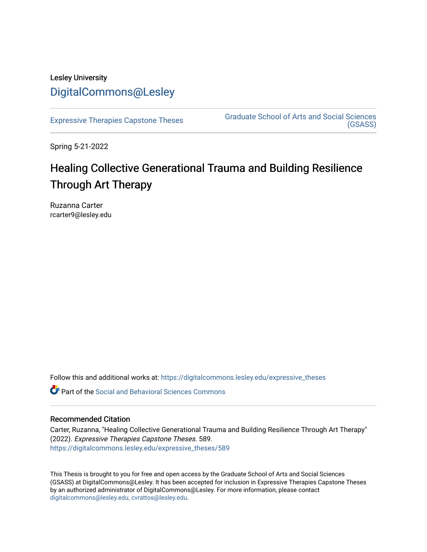## Lesley University [DigitalCommons@Lesley](https://digitalcommons.lesley.edu/)

[Expressive Therapies Capstone Theses](https://digitalcommons.lesley.edu/expressive_theses) Graduate School of Arts and Social Sciences [\(GSASS\)](https://digitalcommons.lesley.edu/gsass) 

Spring 5-21-2022

# Healing Collective Generational Trauma and Building Resilience Through Art Therapy

Ruzanna Carter rcarter9@lesley.edu

Follow this and additional works at: [https://digitalcommons.lesley.edu/expressive\\_theses](https://digitalcommons.lesley.edu/expressive_theses?utm_source=digitalcommons.lesley.edu%2Fexpressive_theses%2F589&utm_medium=PDF&utm_campaign=PDFCoverPages)

Part of the [Social and Behavioral Sciences Commons](http://network.bepress.com/hgg/discipline/316?utm_source=digitalcommons.lesley.edu%2Fexpressive_theses%2F589&utm_medium=PDF&utm_campaign=PDFCoverPages) 

#### Recommended Citation

Carter, Ruzanna, "Healing Collective Generational Trauma and Building Resilience Through Art Therapy" (2022). Expressive Therapies Capstone Theses. 589. [https://digitalcommons.lesley.edu/expressive\\_theses/589](https://digitalcommons.lesley.edu/expressive_theses/589?utm_source=digitalcommons.lesley.edu%2Fexpressive_theses%2F589&utm_medium=PDF&utm_campaign=PDFCoverPages)

This Thesis is brought to you for free and open access by the Graduate School of Arts and Social Sciences (GSASS) at DigitalCommons@Lesley. It has been accepted for inclusion in Expressive Therapies Capstone Theses by an authorized administrator of DigitalCommons@Lesley. For more information, please contact [digitalcommons@lesley.edu, cvrattos@lesley.edu](mailto:digitalcommons@lesley.edu,%20cvrattos@lesley.edu).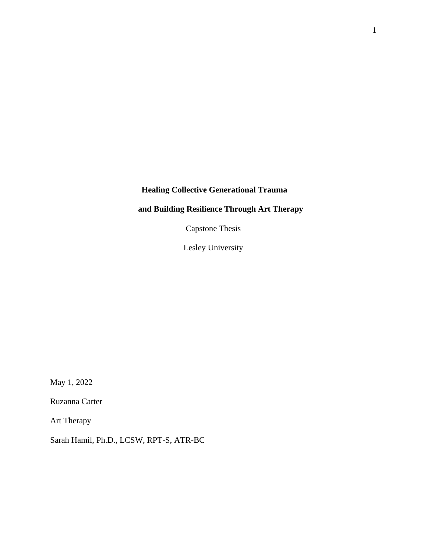## **Healing Collective Generational Trauma**

## **and Building Resilience Through Art Therapy**

Capstone Thesis

Lesley University

May 1, 2022

Ruzanna Carter

Art Therapy

Sarah Hamil, Ph.D., LCSW, RPT-S, ATR-BC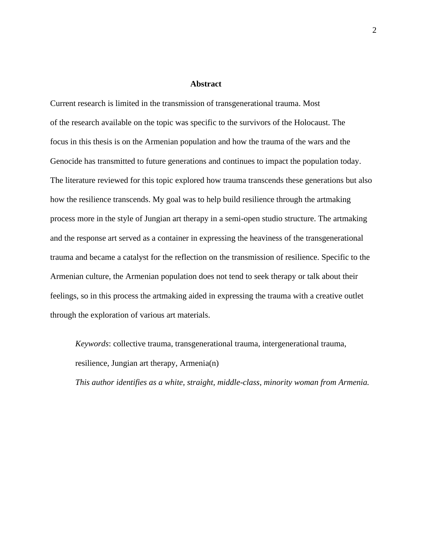#### **Abstract**

Current research is limited in the transmission of transgenerational trauma. Most of the research available on the topic was specific to the survivors of the Holocaust. The focus in this thesis is on the Armenian population and how the trauma of the wars and the Genocide has transmitted to future generations and continues to impact the population today. The literature reviewed for this topic explored how trauma transcends these generations but also how the resilience transcends. My goal was to help build resilience through the artmaking process more in the style of Jungian art therapy in a semi-open studio structure. The artmaking and the response art served as a container in expressing the heaviness of the transgenerational trauma and became a catalyst for the reflection on the transmission of resilience. Specific to the Armenian culture, the Armenian population does not tend to seek therapy or talk about their feelings, so in this process the artmaking aided in expressing the trauma with a creative outlet through the exploration of various art materials.

*Keywords*: collective trauma, transgenerational trauma, intergenerational trauma, resilience, Jungian art therapy, Armenia(n)

*This author identifies as a white, straight, middle-class, minority woman from Armenia.*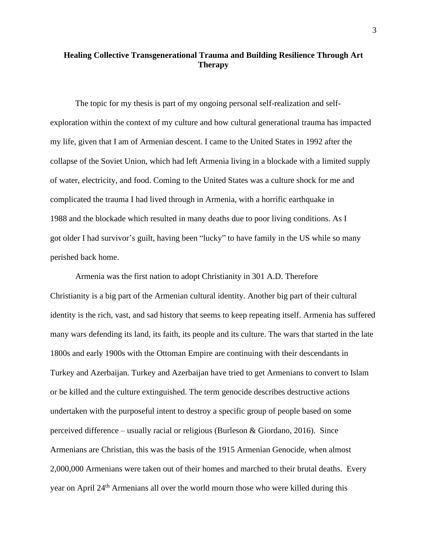### **Healing Collective Transgenerational Trauma and Building Resilience Through Art Therapy**

The topic for my thesis is part of my ongoing personal self-realization and selfexploration within the context of my culture and how cultural generational trauma has impacted my life, given that I am of Armenian descent. I came to the United States in 1992 after the collapse of the Soviet Union, which had left Armenia living in a blockade with a limited supply of water, electricity, and food. Coming to the United States was a culture shock for me and complicated the trauma I had lived through in Armenia, with a horrific earthquake in 1988 and the blockade which resulted in many deaths due to poor living conditions. As I got older I had survivor's guilt, having been "lucky" to have family in the US while so many perished back home.

Armenia was the first nation to adopt Christianity in 301 A.D. Therefore Christianity is a big part of the Armenian cultural identity. Another big part of their cultural identity is the rich, vast, and sad history that seems to keep repeating itself. Armenia has suffered many wars defending its land, its faith, its people and its culture. The wars that started in the late 1800s and early 1900s with the Ottoman Empire are continuing with their descendants in Turkey and Azerbaijan. Turkey and Azerbaijan have tried to get Armenians to convert to Islam or be killed and the culture extinguished. The term genocide describes destructive actions undertaken with the purposeful intent to destroy a specific group of people based on some perceived difference – usually racial or religious (Burleson & Giordano, 2016). Since Armenians are Christian, this was the basis of the 1915 Armenian Genocide, when almost 2,000,000 Armenians were taken out of their homes and marched to their brutal deaths. Every year on April 24th Armenians all over the world mourn those who were killed during this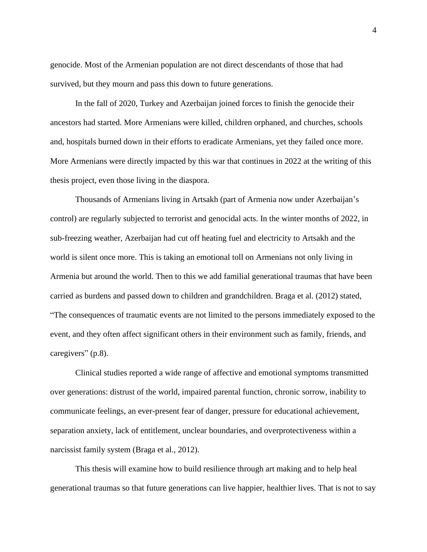genocide. Most of the Armenian population are not direct descendants of those that had survived, but they mourn and pass this down to future generations.

In the fall of 2020, Turkey and Azerbaijan joined forces to finish the genocide their ancestors had started. More Armenians were killed, children orphaned, and churches, schools and, hospitals burned down in their efforts to eradicate Armenians, yet they failed once more. More Armenians were directly impacted by this war that continues in 2022 at the writing of this thesis project, even those living in the diaspora.

Thousands of Armenians living in Artsakh (part of Armenia now under Azerbaijan's control) are regularly subjected to terrorist and genocidal acts. In the winter months of 2022, in sub-freezing weather, Azerbaijan had cut off heating fuel and electricity to Artsakh and the world is silent once more. This is taking an emotional toll on Armenians not only living in Armenia but around the world. Then to this we add familial generational traumas that have been carried as burdens and passed down to children and grandchildren. Braga et al. (2012) stated, "The consequences of traumatic events are not limited to the persons immediately exposed to the event, and they often affect significant others in their environment such as family, friends, and caregivers" (p.8).

Clinical studies reported a wide range of affective and emotional symptoms transmitted over generations: distrust of the world, impaired parental function, chronic sorrow, inability to communicate feelings, an ever-present fear of danger, pressure for educational achievement, separation anxiety, lack of entitlement, unclear boundaries, and overprotectiveness within a narcissist family system (Braga et al., 2012).

This thesis will examine how to build resilience through art making and to help heal generational traumas so that future generations can live happier, healthier lives. That is not to say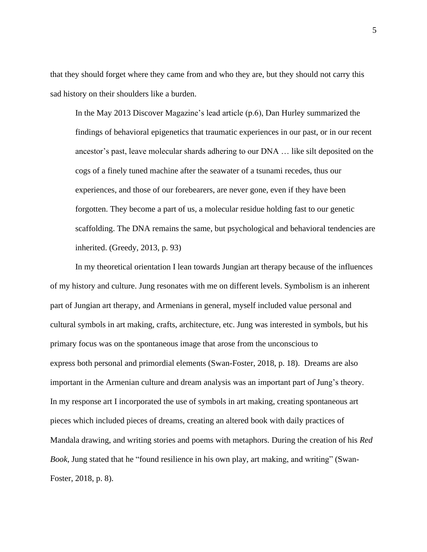that they should forget where they came from and who they are, but they should not carry this sad history on their shoulders like a burden.

In the May 2013 Discover Magazine's lead article (p.6), Dan Hurley summarized the findings of behavioral epigenetics that traumatic experiences in our past, or in our recent ancestor's past, leave molecular shards adhering to our DNA … like silt deposited on the cogs of a finely tuned machine after the seawater of a tsunami recedes, thus our experiences, and those of our forebearers, are never gone, even if they have been forgotten. They become a part of us, a molecular residue holding fast to our genetic scaffolding. The DNA remains the same, but psychological and behavioral tendencies are inherited. (Greedy, 2013, p. 93)

In my theoretical orientation I lean towards Jungian art therapy because of the influences of my history and culture. Jung resonates with me on different levels. Symbolism is an inherent part of Jungian art therapy, and Armenians in general, myself included value personal and cultural symbols in art making, crafts, architecture, etc. Jung was interested in symbols, but his primary focus was on the spontaneous image that arose from the unconscious to express both personal and primordial elements (Swan-Foster, 2018, p. 18). Dreams are also important in the Armenian culture and dream analysis was an important part of Jung's theory. In my response art I incorporated the use of symbols in art making, creating spontaneous art pieces which included pieces of dreams, creating an altered book with daily practices of Mandala drawing, and writing stories and poems with metaphors. During the creation of his *Red Book*, Jung stated that he "found resilience in his own play, art making, and writing" (Swan-Foster, 2018, p. 8).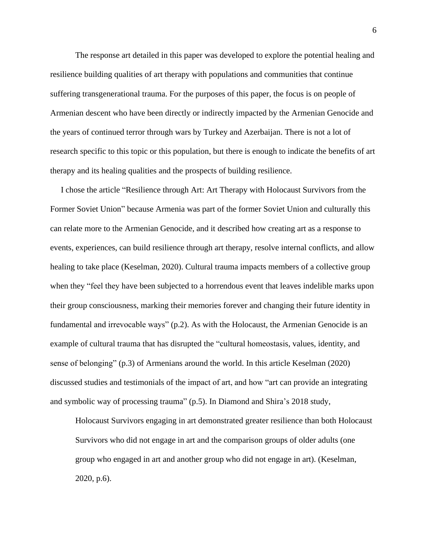The response art detailed in this paper was developed to explore the potential healing and resilience building qualities of art therapy with populations and communities that continue suffering transgenerational trauma. For the purposes of this paper, the focus is on people of Armenian descent who have been directly or indirectly impacted by the Armenian Genocide and the years of continued terror through wars by Turkey and Azerbaijan. There is not a lot of research specific to this topic or this population, but there is enough to indicate the benefits of art therapy and its healing qualities and the prospects of building resilience.

I chose the article "Resilience through Art: Art Therapy with Holocaust Survivors from the Former Soviet Union" because Armenia was part of the former Soviet Union and culturally this can relate more to the Armenian Genocide, and it described how creating art as a response to events, experiences, can build resilience through art therapy, resolve internal conflicts, and allow healing to take place (Keselman, 2020). Cultural trauma impacts members of a collective group when they "feel they have been subjected to a horrendous event that leaves indelible marks upon their group consciousness, marking their memories forever and changing their future identity in fundamental and irrevocable ways" (p.2). As with the Holocaust, the Armenian Genocide is an example of cultural trauma that has disrupted the "cultural homeostasis, values, identity, and sense of belonging" (p.3) of Armenians around the world. In this article Keselman (2020) discussed studies and testimonials of the impact of art, and how "art can provide an integrating and symbolic way of processing trauma" (p.5). In Diamond and Shira's 2018 study,

Holocaust Survivors engaging in art demonstrated greater resilience than both Holocaust Survivors who did not engage in art and the comparison groups of older adults (one group who engaged in art and another group who did not engage in art). (Keselman, 2020, p.6).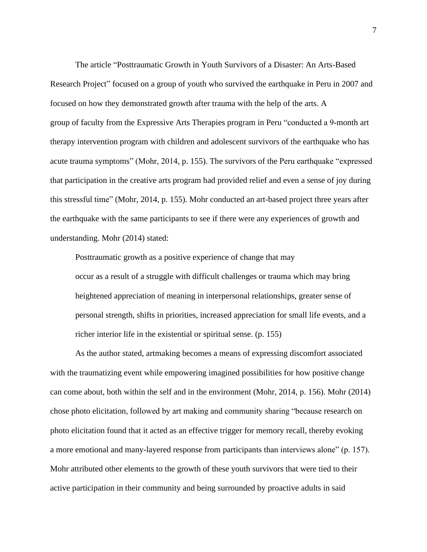The article "Posttraumatic Growth in Youth Survivors of a Disaster: An Arts-Based Research Project" focused on a group of youth who survived the earthquake in Peru in 2007 and focused on how they demonstrated growth after trauma with the help of the arts. A group of faculty from the Expressive Arts Therapies program in Peru "conducted a 9-month art therapy intervention program with children and adolescent survivors of the earthquake who has acute trauma symptoms" (Mohr, 2014, p. 155). The survivors of the Peru earthquake "expressed that participation in the creative arts program had provided relief and even a sense of joy during this stressful time" (Mohr, 2014, p. 155). Mohr conducted an art-based project three years after the earthquake with the same participants to see if there were any experiences of growth and understanding. Mohr (2014) stated:

Posttraumatic growth as a positive experience of change that may occur as a result of a struggle with difficult challenges or trauma which may bring heightened appreciation of meaning in interpersonal relationships, greater sense of personal strength, shifts in priorities, increased appreciation for small life events, and a richer interior life in the existential or spiritual sense. (p. 155)

As the author stated, artmaking becomes a means of expressing discomfort associated with the traumatizing event while empowering imagined possibilities for how positive change can come about, both within the self and in the environment (Mohr, 2014, p. 156). Mohr (2014) chose photo elicitation, followed by art making and community sharing "because research on photo elicitation found that it acted as an effective trigger for memory recall, thereby evoking a more emotional and many-layered response from participants than interviews alone" (p. 157). Mohr attributed other elements to the growth of these youth survivors that were tied to their active participation in their community and being surrounded by proactive adults in said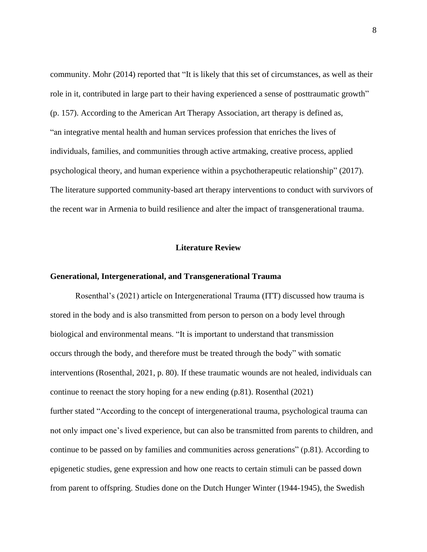community. Mohr (2014) reported that "It is likely that this set of circumstances, as well as their role in it, contributed in large part to their having experienced a sense of posttraumatic growth" (p. 157). According to the American Art Therapy Association, art therapy is defined as, "an integrative mental health and human services profession that enriches the lives of individuals, families, and communities through active artmaking, creative process, applied psychological theory, and human experience within a psychotherapeutic relationship" (2017). The literature supported community-based art therapy interventions to conduct with survivors of the recent war in Armenia to build resilience and alter the impact of transgenerational trauma.

#### **Literature Review**

#### **Generational, Intergenerational, and Transgenerational Trauma**

Rosenthal's (2021) article on Intergenerational Trauma (ITT) discussed how trauma is stored in the body and is also transmitted from person to person on a body level through biological and environmental means. "It is important to understand that transmission occurs through the body, and therefore must be treated through the body" with somatic interventions (Rosenthal, 2021, p. 80). If these traumatic wounds are not healed, individuals can continue to reenact the story hoping for a new ending (p.81). Rosenthal (2021) further stated "According to the concept of intergenerational trauma, psychological trauma can not only impact one's lived experience, but can also be transmitted from parents to children, and continue to be passed on by families and communities across generations" (p.81). According to epigenetic studies, gene expression and how one reacts to certain stimuli can be passed down from parent to offspring. Studies done on the Dutch Hunger Winter (1944-1945), the Swedish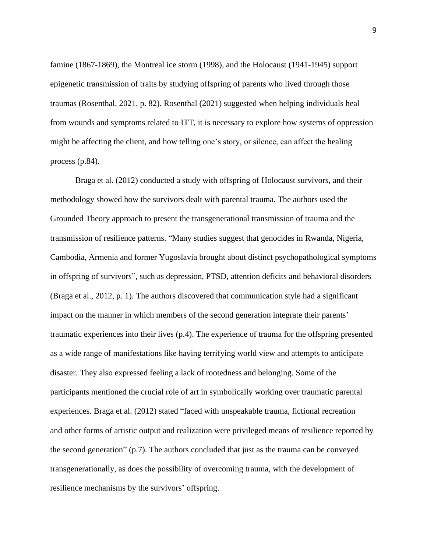famine (1867-1869), the Montreal ice storm (1998), and the Holocaust (1941-1945) support epigenetic transmission of traits by studying offspring of parents who lived through those traumas (Rosenthal, 2021, p. 82). Rosenthal (2021) suggested when helping individuals heal from wounds and symptoms related to ITT, it is necessary to explore how systems of oppression might be affecting the client, and how telling one's story, or silence, can affect the healing process (p.84).

Braga et al. (2012) conducted a study with offspring of Holocaust survivors, and their methodology showed how the survivors dealt with parental trauma. The authors used the Grounded Theory approach to present the transgenerational transmission of trauma and the transmission of resilience patterns. "Many studies suggest that genocides in Rwanda, Nigeria, Cambodia, Armenia and former Yugoslavia brought about distinct psychopathological symptoms in offspring of survivors", such as depression, PTSD, attention deficits and behavioral disorders (Braga et al., 2012, p. 1). The authors discovered that communication style had a significant impact on the manner in which members of the second generation integrate their parents' traumatic experiences into their lives (p.4). The experience of trauma for the offspring presented as a wide range of manifestations like having terrifying world view and attempts to anticipate disaster. They also expressed feeling a lack of rootedness and belonging. Some of the participants mentioned the crucial role of art in symbolically working over traumatic parental experiences. Braga et al. (2012) stated "faced with unspeakable trauma, fictional recreation and other forms of artistic output and realization were privileged means of resilience reported by the second generation" (p.7). The authors concluded that just as the trauma can be conveyed transgenerationally, as does the possibility of overcoming trauma, with the development of resilience mechanisms by the survivors' offspring.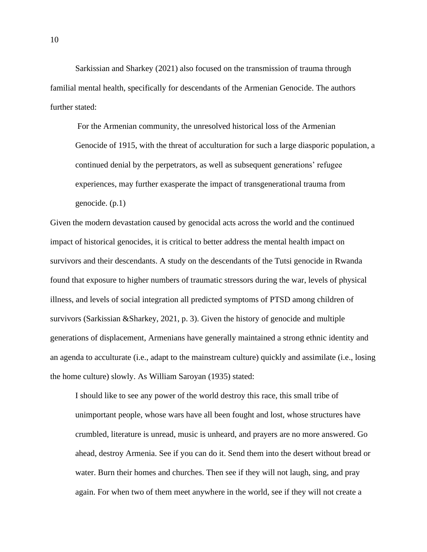Sarkissian and Sharkey (2021) also focused on the transmission of trauma through familial mental health, specifically for descendants of the Armenian Genocide. The authors further stated:

For the Armenian community, the unresolved historical loss of the Armenian Genocide of 1915, with the threat of acculturation for such a large diasporic population, a continued denial by the perpetrators, as well as subsequent generations' refugee experiences, may further exasperate the impact of transgenerational trauma from genocide. (p.1)

Given the modern devastation caused by genocidal acts across the world and the continued impact of historical genocides, it is critical to better address the mental health impact on survivors and their descendants. A study on the descendants of the Tutsi genocide in Rwanda found that exposure to higher numbers of traumatic stressors during the war, levels of physical illness, and levels of social integration all predicted symptoms of PTSD among children of survivors (Sarkissian &Sharkey, 2021, p. 3). Given the history of genocide and multiple generations of displacement, Armenians have generally maintained a strong ethnic identity and an agenda to acculturate (i.e., adapt to the mainstream culture) quickly and assimilate (i.e., losing the home culture) slowly. As William Saroyan (1935) stated:

I should like to see any power of the world destroy this race, this small tribe of unimportant people, whose wars have all been fought and lost, whose structures have crumbled, literature is unread, music is unheard, and prayers are no more answered. Go ahead, destroy Armenia. See if you can do it. Send them into the desert without bread or water. Burn their homes and churches. Then see if they will not laugh, sing, and pray again. For when two of them meet anywhere in the world, see if they will not create a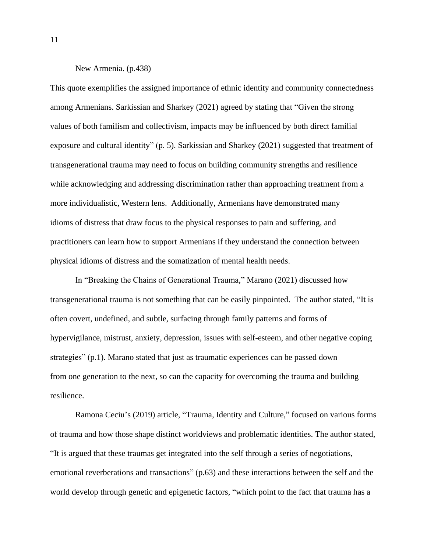#### New Armenia. (p.438)

This quote exemplifies the assigned importance of ethnic identity and community connectedness among Armenians. Sarkissian and Sharkey (2021) agreed by stating that "Given the strong values of both familism and collectivism, impacts may be influenced by both direct familial exposure and cultural identity" (p. 5). Sarkissian and Sharkey (2021) suggested that treatment of transgenerational trauma may need to focus on building community strengths and resilience while acknowledging and addressing discrimination rather than approaching treatment from a more individualistic, Western lens. Additionally, Armenians have demonstrated many idioms of distress that draw focus to the physical responses to pain and suffering, and practitioners can learn how to support Armenians if they understand the connection between physical idioms of distress and the somatization of mental health needs.

In "Breaking the Chains of Generational Trauma," Marano (2021) discussed how transgenerational trauma is not something that can be easily pinpointed. The author stated, "It is often covert, undefined, and subtle, surfacing through family patterns and forms of hypervigilance, mistrust, anxiety, depression, issues with self-esteem, and other negative coping strategies" (p.1). Marano stated that just as traumatic experiences can be passed down from one generation to the next, so can the capacity for overcoming the trauma and building resilience.

Ramona Ceciu's (2019) article, "Trauma, Identity and Culture," focused on various forms of trauma and how those shape distinct worldviews and problematic identities. The author stated, "It is argued that these traumas get integrated into the self through a series of negotiations, emotional reverberations and transactions" (p.63) and these interactions between the self and the world develop through genetic and epigenetic factors, "which point to the fact that trauma has a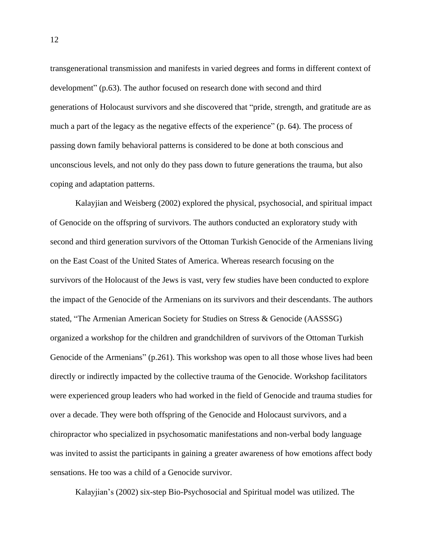transgenerational transmission and manifests in varied degrees and forms in different context of development" (p.63). The author focused on research done with second and third generations of Holocaust survivors and she discovered that "pride, strength, and gratitude are as much a part of the legacy as the negative effects of the experience" (p. 64). The process of passing down family behavioral patterns is considered to be done at both conscious and unconscious levels, and not only do they pass down to future generations the trauma, but also coping and adaptation patterns.

Kalayjian and Weisberg (2002) explored the physical, psychosocial, and spiritual impact of Genocide on the offspring of survivors. The authors conducted an exploratory study with second and third generation survivors of the Ottoman Turkish Genocide of the Armenians living on the East Coast of the United States of America. Whereas research focusing on the survivors of the Holocaust of the Jews is vast, very few studies have been conducted to explore the impact of the Genocide of the Armenians on its survivors and their descendants. The authors stated, "The Armenian American Society for Studies on Stress & Genocide (AASSSG) organized a workshop for the children and grandchildren of survivors of the Ottoman Turkish Genocide of the Armenians" (p.261). This workshop was open to all those whose lives had been directly or indirectly impacted by the collective trauma of the Genocide. Workshop facilitators were experienced group leaders who had worked in the field of Genocide and trauma studies for over a decade. They were both offspring of the Genocide and Holocaust survivors, and a chiropractor who specialized in psychosomatic manifestations and non-verbal body language was invited to assist the participants in gaining a greater awareness of how emotions affect body sensations. He too was a child of a Genocide survivor.

Kalayjian's (2002) six-step Bio-Psychosocial and Spiritual model was utilized. The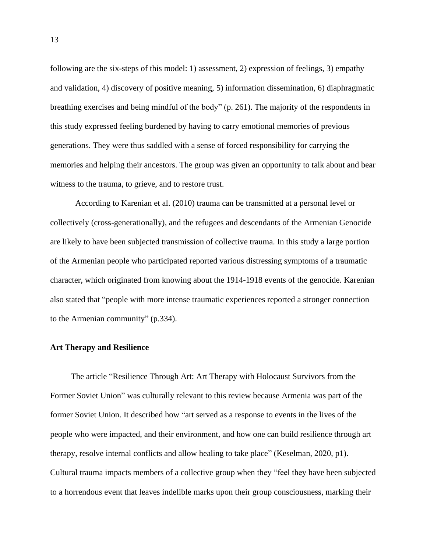following are the six-steps of this model: 1) assessment, 2) expression of feelings, 3) empathy and validation, 4) discovery of positive meaning, 5) information dissemination, 6) diaphragmatic breathing exercises and being mindful of the body" (p. 261). The majority of the respondents in this study expressed feeling burdened by having to carry emotional memories of previous generations. They were thus saddled with a sense of forced responsibility for carrying the memories and helping their ancestors. The group was given an opportunity to talk about and bear witness to the trauma, to grieve, and to restore trust.

According to Karenian et al. (2010) trauma can be transmitted at a personal level or collectively (cross-generationally), and the refugees and descendants of the Armenian Genocide are likely to have been subjected transmission of collective trauma. In this study a large portion of the Armenian people who participated reported various distressing symptoms of a traumatic character, which originated from knowing about the 1914-1918 events of the genocide. Karenian also stated that "people with more intense traumatic experiences reported a stronger connection to the Armenian community" (p.334).

#### **Art Therapy and Resilience**

The article "Resilience Through Art: Art Therapy with Holocaust Survivors from the Former Soviet Union" was culturally relevant to this review because Armenia was part of the former Soviet Union. It described how "art served as a response to events in the lives of the people who were impacted, and their environment, and how one can build resilience through art therapy, resolve internal conflicts and allow healing to take place" (Keselman, 2020, p1). Cultural trauma impacts members of a collective group when they "feel they have been subjected to a horrendous event that leaves indelible marks upon their group consciousness, marking their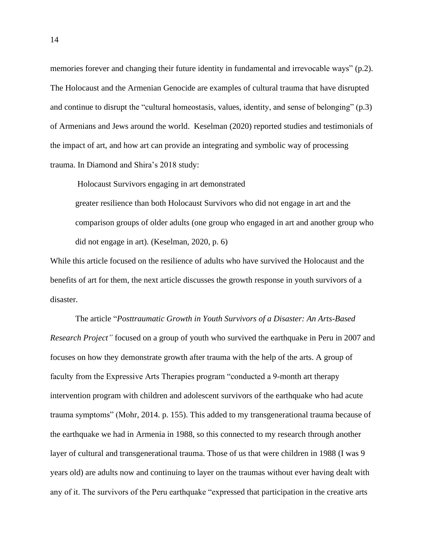memories forever and changing their future identity in fundamental and irrevocable ways" (p.2). The Holocaust and the Armenian Genocide are examples of cultural trauma that have disrupted and continue to disrupt the "cultural homeostasis, values, identity, and sense of belonging" (p.3) of Armenians and Jews around the world. Keselman (2020) reported studies and testimonials of the impact of art, and how art can provide an integrating and symbolic way of processing trauma. In Diamond and Shira's 2018 study:

Holocaust Survivors engaging in art demonstrated

greater resilience than both Holocaust Survivors who did not engage in art and the comparison groups of older adults (one group who engaged in art and another group who did not engage in art). (Keselman, 2020, p. 6)

While this article focused on the resilience of adults who have survived the Holocaust and the benefits of art for them, the next article discusses the growth response in youth survivors of a disaster.

The article "*Posttraumatic Growth in Youth Survivors of a Disaster: An Arts-Based Research Project"* focused on a group of youth who survived the earthquake in Peru in 2007 and focuses on how they demonstrate growth after trauma with the help of the arts. A group of faculty from the Expressive Arts Therapies program "conducted a 9-month art therapy intervention program with children and adolescent survivors of the earthquake who had acute trauma symptoms" (Mohr, 2014. p. 155). This added to my transgenerational trauma because of the earthquake we had in Armenia in 1988, so this connected to my research through another layer of cultural and transgenerational trauma. Those of us that were children in 1988 (I was 9 years old) are adults now and continuing to layer on the traumas without ever having dealt with any of it. The survivors of the Peru earthquake "expressed that participation in the creative arts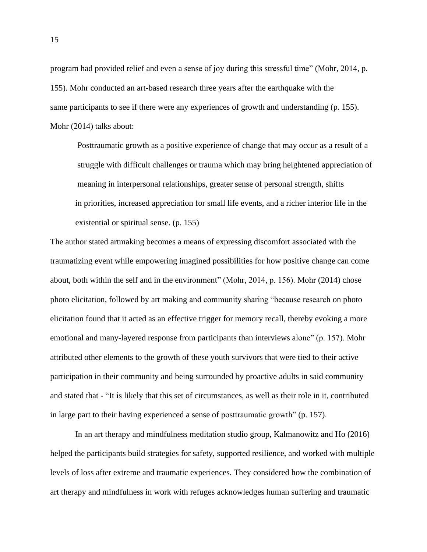program had provided relief and even a sense of joy during this stressful time" (Mohr, 2014, p. 155). Mohr conducted an art-based research three years after the earthquake with the same participants to see if there were any experiences of growth and understanding (p. 155). Mohr (2014) talks about:

Posttraumatic growth as a positive experience of change that may occur as a result of a struggle with difficult challenges or trauma which may bring heightened appreciation of meaning in interpersonal relationships, greater sense of personal strength, shifts in priorities, increased appreciation for small life events, and a richer interior life in the existential or spiritual sense. (p. 155)

The author stated artmaking becomes a means of expressing discomfort associated with the traumatizing event while empowering imagined possibilities for how positive change can come about, both within the self and in the environment" (Mohr, 2014, p. 156). Mohr (2014) chose photo elicitation, followed by art making and community sharing "because research on photo elicitation found that it acted as an effective trigger for memory recall, thereby evoking a more emotional and many-layered response from participants than interviews alone" (p. 157). Mohr attributed other elements to the growth of these youth survivors that were tied to their active participation in their community and being surrounded by proactive adults in said community and stated that - "It is likely that this set of circumstances, as well as their role in it, contributed in large part to their having experienced a sense of posttraumatic growth" (p. 157).

In an art therapy and mindfulness meditation studio group, Kalmanowitz and Ho (2016) helped the participants build strategies for safety, supported resilience, and worked with multiple levels of loss after extreme and traumatic experiences. They considered how the combination of art therapy and mindfulness in work with refuges acknowledges human suffering and traumatic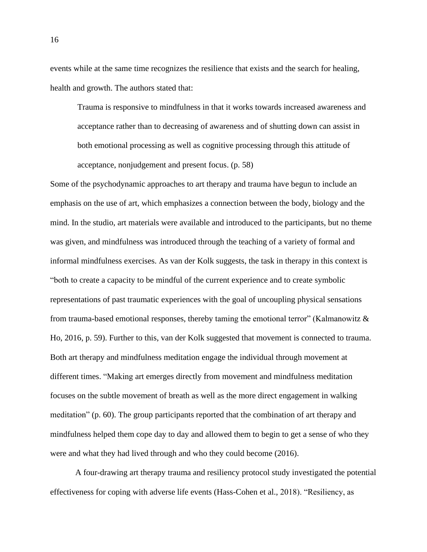events while at the same time recognizes the resilience that exists and the search for healing, health and growth. The authors stated that:

Trauma is responsive to mindfulness in that it works towards increased awareness and acceptance rather than to decreasing of awareness and of shutting down can assist in both emotional processing as well as cognitive processing through this attitude of acceptance, nonjudgement and present focus. (p. 58)

Some of the psychodynamic approaches to art therapy and trauma have begun to include an emphasis on the use of art, which emphasizes a connection between the body, biology and the mind. In the studio, art materials were available and introduced to the participants, but no theme was given, and mindfulness was introduced through the teaching of a variety of formal and informal mindfulness exercises. As van der Kolk suggests, the task in therapy in this context is "both to create a capacity to be mindful of the current experience and to create symbolic representations of past traumatic experiences with the goal of uncoupling physical sensations from trauma-based emotional responses, thereby taming the emotional terror" (Kalmanowitz  $\&$ Ho, 2016, p. 59). Further to this, van der Kolk suggested that movement is connected to trauma. Both art therapy and mindfulness meditation engage the individual through movement at different times. "Making art emerges directly from movement and mindfulness meditation focuses on the subtle movement of breath as well as the more direct engagement in walking meditation" (p. 60). The group participants reported that the combination of art therapy and mindfulness helped them cope day to day and allowed them to begin to get a sense of who they were and what they had lived through and who they could become (2016).

A four-drawing art therapy trauma and resiliency protocol study investigated the potential effectiveness for coping with adverse life events (Hass-Cohen et al., 2018). "Resiliency, as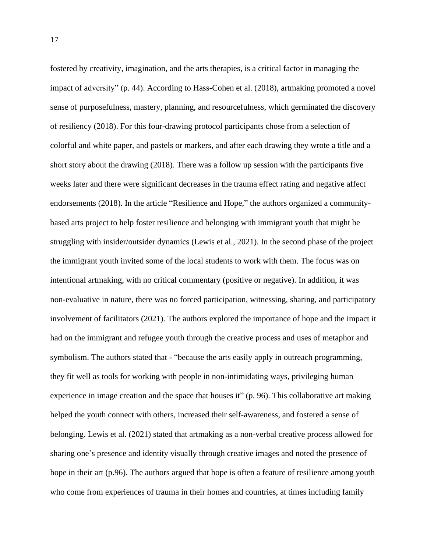fostered by creativity, imagination, and the arts therapies, is a critical factor in managing the impact of adversity" (p. 44). According to Hass-Cohen et al. (2018), artmaking promoted a novel sense of purposefulness, mastery, planning, and resourcefulness, which germinated the discovery of resiliency (2018). For this four-drawing protocol participants chose from a selection of colorful and white paper, and pastels or markers, and after each drawing they wrote a title and a short story about the drawing (2018). There was a follow up session with the participants five weeks later and there were significant decreases in the trauma effect rating and negative affect endorsements (2018). In the article "Resilience and Hope," the authors organized a communitybased arts project to help foster resilience and belonging with immigrant youth that might be struggling with insider/outsider dynamics (Lewis et al., 2021). In the second phase of the project the immigrant youth invited some of the local students to work with them. The focus was on intentional artmaking, with no critical commentary (positive or negative). In addition, it was non-evaluative in nature, there was no forced participation, witnessing, sharing, and participatory involvement of facilitators (2021). The authors explored the importance of hope and the impact it had on the immigrant and refugee youth through the creative process and uses of metaphor and symbolism. The authors stated that - "because the arts easily apply in outreach programming, they fit well as tools for working with people in non-intimidating ways, privileging human experience in image creation and the space that houses it" (p. 96). This collaborative art making helped the youth connect with others, increased their self-awareness, and fostered a sense of belonging. Lewis et al. (2021) stated that artmaking as a non-verbal creative process allowed for sharing one's presence and identity visually through creative images and noted the presence of hope in their art (p.96). The authors argued that hope is often a feature of resilience among youth who come from experiences of trauma in their homes and countries, at times including family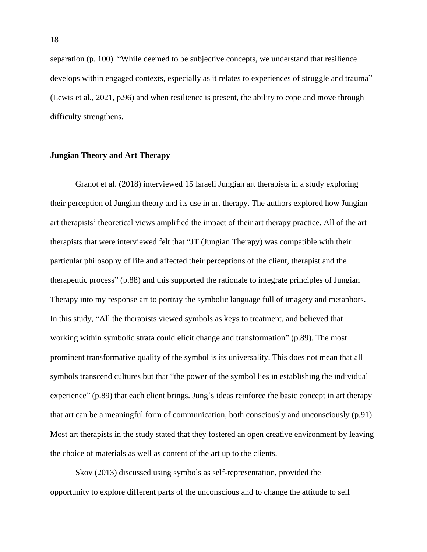separation (p. 100). "While deemed to be subjective concepts, we understand that resilience develops within engaged contexts, especially as it relates to experiences of struggle and trauma" (Lewis et al., 2021, p.96) and when resilience is present, the ability to cope and move through difficulty strengthens.

#### **Jungian Theory and Art Therapy**

Granot et al. (2018) interviewed 15 Israeli Jungian art therapists in a study exploring their perception of Jungian theory and its use in art therapy. The authors explored how Jungian art therapists' theoretical views amplified the impact of their art therapy practice. All of the art therapists that were interviewed felt that "JT (Jungian Therapy) was compatible with their particular philosophy of life and affected their perceptions of the client, therapist and the therapeutic process" (p.88) and this supported the rationale to integrate principles of Jungian Therapy into my response art to portray the symbolic language full of imagery and metaphors. In this study, "All the therapists viewed symbols as keys to treatment, and believed that working within symbolic strata could elicit change and transformation" (p.89). The most prominent transformative quality of the symbol is its universality. This does not mean that all symbols transcend cultures but that "the power of the symbol lies in establishing the individual experience" (p.89) that each client brings. Jung's ideas reinforce the basic concept in art therapy that art can be a meaningful form of communication, both consciously and unconsciously (p.91). Most art therapists in the study stated that they fostered an open creative environment by leaving the choice of materials as well as content of the art up to the clients.

Skov (2013) discussed using symbols as self-representation, provided the opportunity to explore different parts of the unconscious and to change the attitude to self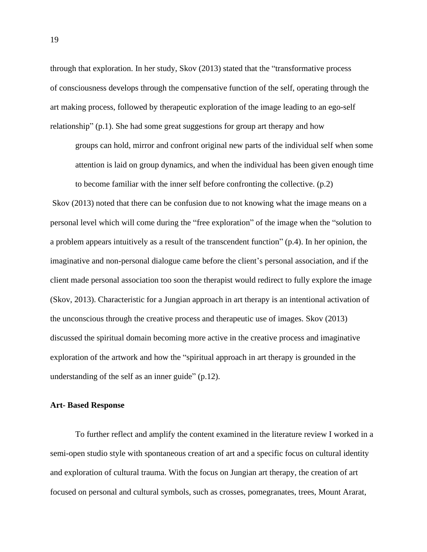through that exploration. In her study, Skov (2013) stated that the "transformative process of consciousness develops through the compensative function of the self, operating through the art making process, followed by therapeutic exploration of the image leading to an ego-self relationship" (p.1). She had some great suggestions for group art therapy and how

groups can hold, mirror and confront original new parts of the individual self when some attention is laid on group dynamics, and when the individual has been given enough time to become familiar with the inner self before confronting the collective. (p.2)

Skov (2013) noted that there can be confusion due to not knowing what the image means on a personal level which will come during the "free exploration" of the image when the "solution to a problem appears intuitively as a result of the transcendent function" (p.4). In her opinion, the imaginative and non-personal dialogue came before the client's personal association, and if the client made personal association too soon the therapist would redirect to fully explore the image (Skov, 2013). Characteristic for a Jungian approach in art therapy is an intentional activation of the unconscious through the creative process and therapeutic use of images. Skov (2013) discussed the spiritual domain becoming more active in the creative process and imaginative exploration of the artwork and how the "spiritual approach in art therapy is grounded in the understanding of the self as an inner guide" (p.12).

#### **Art- Based Response**

To further reflect and amplify the content examined in the literature review I worked in a semi-open studio style with spontaneous creation of art and a specific focus on cultural identity and exploration of cultural trauma. With the focus on Jungian art therapy, the creation of art focused on personal and cultural symbols, such as crosses, pomegranates, trees, Mount Ararat,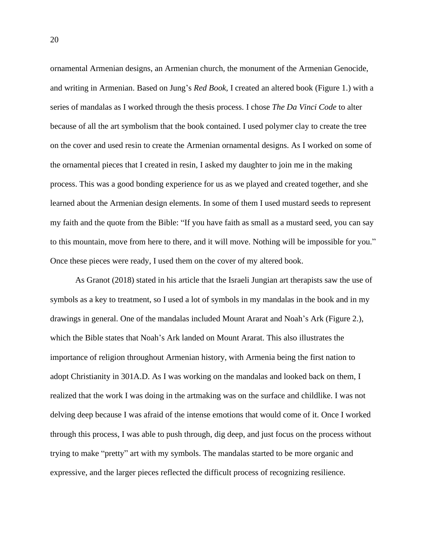ornamental Armenian designs, an Armenian church, the monument of the Armenian Genocide, and writing in Armenian. Based on Jung's *Red Book,* I created an altered book (Figure 1.) with a series of mandalas as I worked through the thesis process. I chose *The Da Vinci Code* to alter because of all the art symbolism that the book contained. I used polymer clay to create the tree on the cover and used resin to create the Armenian ornamental designs. As I worked on some of the ornamental pieces that I created in resin, I asked my daughter to join me in the making process. This was a good bonding experience for us as we played and created together, and she learned about the Armenian design elements. In some of them I used mustard seeds to represent my faith and the quote from the Bible: "If you have faith as small as a mustard seed, you can say to this mountain, move from here to there, and it will move. Nothing will be impossible for you." Once these pieces were ready, I used them on the cover of my altered book.

As Granot (2018) stated in his article that the Israeli Jungian art therapists saw the use of symbols as a key to treatment, so I used a lot of symbols in my mandalas in the book and in my drawings in general. One of the mandalas included Mount Ararat and Noah's Ark (Figure 2.), which the Bible states that Noah's Ark landed on Mount Ararat. This also illustrates the importance of religion throughout Armenian history, with Armenia being the first nation to adopt Christianity in 301A.D. As I was working on the mandalas and looked back on them, I realized that the work I was doing in the artmaking was on the surface and childlike. I was not delving deep because I was afraid of the intense emotions that would come of it. Once I worked through this process, I was able to push through, dig deep, and just focus on the process without trying to make "pretty" art with my symbols. The mandalas started to be more organic and expressive, and the larger pieces reflected the difficult process of recognizing resilience.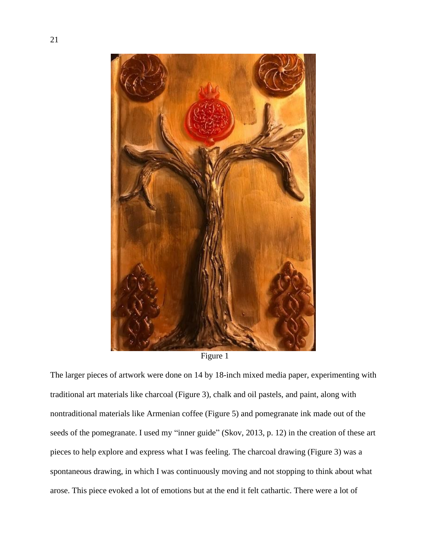

Figure 1

The larger pieces of artwork were done on 14 by 18-inch mixed media paper, experimenting with traditional art materials like charcoal (Figure 3), chalk and oil pastels, and paint, along with nontraditional materials like Armenian coffee (Figure 5) and pomegranate ink made out of the seeds of the pomegranate. I used my "inner guide" (Skov, 2013, p. 12) in the creation of these art pieces to help explore and express what I was feeling. The charcoal drawing (Figure 3) was a spontaneous drawing, in which I was continuously moving and not stopping to think about what arose. This piece evoked a lot of emotions but at the end it felt cathartic. There were a lot of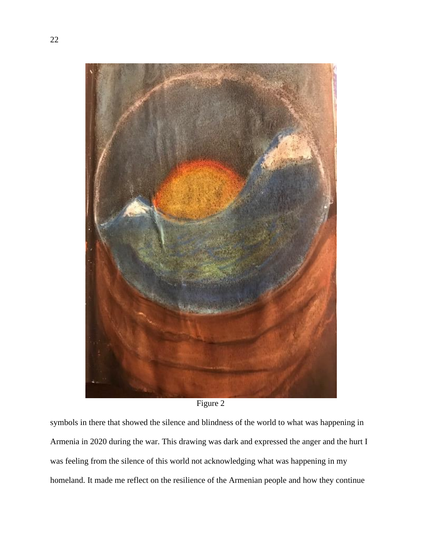



symbols in there that showed the silence and blindness of the world to what was happening in Armenia in 2020 during the war. This drawing was dark and expressed the anger and the hurt I was feeling from the silence of this world not acknowledging what was happening in my homeland. It made me reflect on the resilience of the Armenian people and how they continue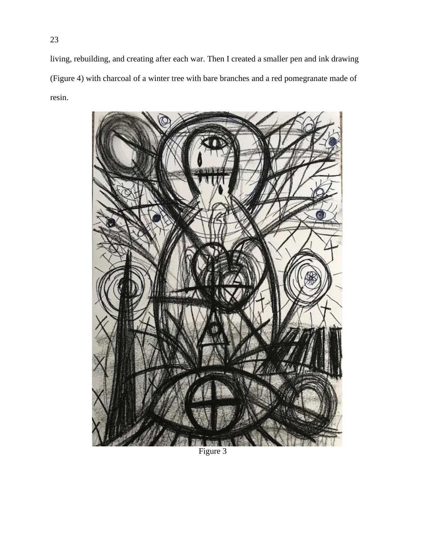living, rebuilding, and creating after each war. Then I created a smaller pen and ink drawing (Figure 4) with charcoal of a winter tree with bare branches and a red pomegranate made of resin.



Figure 3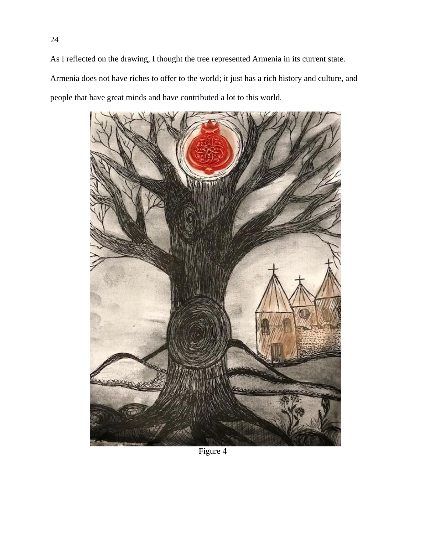As I reflected on the drawing, I thought the tree represented Armenia in its current state. Armenia does not have riches to offer to the world; it just has a rich history and culture, and people that have great minds and have contributed a lot to this world.



Figure 4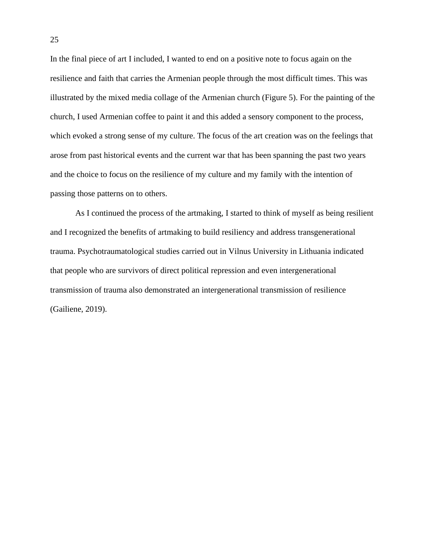In the final piece of art I included, I wanted to end on a positive note to focus again on the resilience and faith that carries the Armenian people through the most difficult times. This was illustrated by the mixed media collage of the Armenian church (Figure 5). For the painting of the church, I used Armenian coffee to paint it and this added a sensory component to the process, which evoked a strong sense of my culture. The focus of the art creation was on the feelings that arose from past historical events and the current war that has been spanning the past two years and the choice to focus on the resilience of my culture and my family with the intention of passing those patterns on to others.

As I continued the process of the artmaking, I started to think of myself as being resilient and I recognized the benefits of artmaking to build resiliency and address transgenerational trauma. Psychotraumatological studies carried out in Vilnus University in Lithuania indicated that people who are survivors of direct political repression and even intergenerational transmission of trauma also demonstrated an intergenerational transmission of resilience (Gailiene, 2019).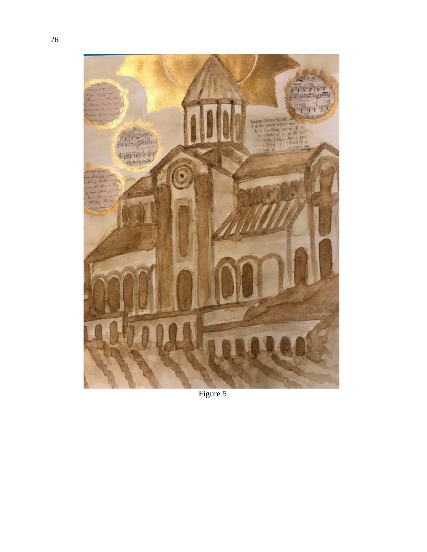

Figure 5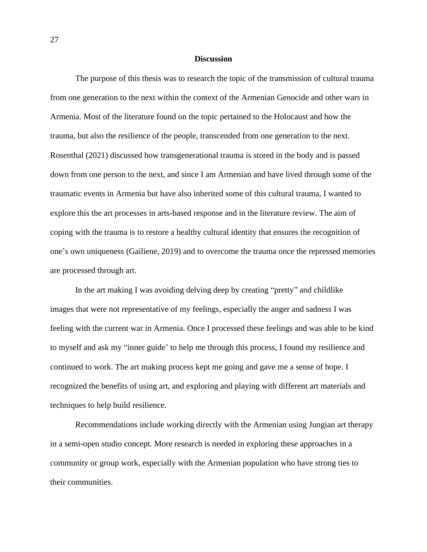#### **Discussion**

The purpose of this thesis was to research the topic of the transmission of cultural trauma from one generation to the next within the context of the Armenian Genocide and other wars in Armenia. Most of the literature found on the topic pertained to the Holocaust and how the trauma, but also the resilience of the people, transcended from one generation to the next. Rosenthal (2021) discussed how transgenerational trauma is stored in the body and is passed down from one person to the next, and since I am Armenian and have lived through some of the traumatic events in Armenia but have also inherited some of this cultural trauma, I wanted to explore this the art processes in arts-based response and in the literature review. The aim of coping with the trauma is to restore a healthy cultural identity that ensures the recognition of one's own uniqueness (Gailiene, 2019) and to overcome the trauma once the repressed memories are processed through art.

In the art making I was avoiding delving deep by creating "pretty" and childlike images that were not representative of my feelings, especially the anger and sadness I was feeling with the current war in Armenia. Once I processed these feelings and was able to be kind to myself and ask my "inner guide' to help me through this process, I found my resilience and continued to work. The art making process kept me going and gave me a sense of hope. I recognized the benefits of using art, and exploring and playing with different art materials and techniques to help build resilience.

Recommendations include working directly with the Armenian using Jungian art therapy in a semi-open studio concept. More research is needed in exploring these approaches in a community or group work, especially with the Armenian population who have strong ties to their communities.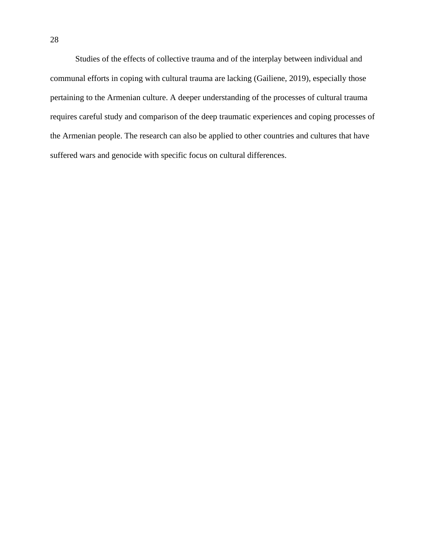Studies of the effects of collective trauma and of the interplay between individual and communal efforts in coping with cultural trauma are lacking (Gailiene, 2019), especially those pertaining to the Armenian culture. A deeper understanding of the processes of cultural trauma requires careful study and comparison of the deep traumatic experiences and coping processes of the Armenian people. The research can also be applied to other countries and cultures that have suffered wars and genocide with specific focus on cultural differences.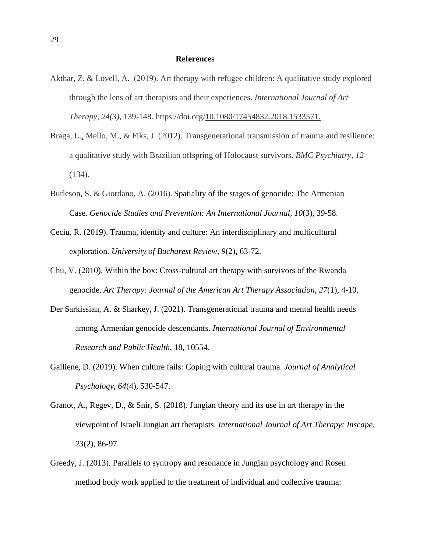#### **References**

- Akthar, Z. & Lovell, A. (2019). Art therapy with refugee children: A qualitative study explored through the lens of art therapists and their experiences. *International Journal of Art Therapy, 24(3),* 139-148. https://doi.org[/10.1080/17454832.2018.1533571.](https://doi.org/10.1080/17454832.2018.1533571)
- Braga, L., Mello, M., & Fiks, J. (2012). Transgenerational transmission of trauma and resilience: a qualitative study with Brazilian offspring of Holocaust survivors. *BMC Psychiatry*, *12* (134).
- Burleson, S. & Giordano, A. (2016). Spatiality of the stages of genocide: The Armenian Case. *Genocide Studies and Prevention: An International Journal*, *10*(3), 39-58.
- Ceciu, R. (2019). Trauma, identity and culture: An interdisciplinary and multicultural exploration. *University of Bucharest Review, 9*(2), 63-72.
- Chu, V. (2010). Within the box: Cross-cultural art therapy with survivors of the Rwanda genocide. *Art Therapy: Journal of the American Art Therapy Association*, *27*(1), 4-10.
- Der Sarkissian, A. & Sharkey, J. (2021). Transgenerational trauma and mental health needs among Armenian genocide descendants. *International Journal of Environmental Research and Public Health*, 18, 10554.
- Gailiene, D. (2019). When culture fails: Coping with cultural trauma*. Journal of Analytical Psychology*, *64*(4), 530-547.
- Granot, A., Regev, D., & Snir, S. (2018). Jungian theory and its use in art therapy in the viewpoint of Israeli Jungian art therapists. *International Journal of Art Therapy: Inscape*, *23*(2), 86-97.
- Greedy, J. (2013). Parallels to syntropy and resonance in Jungian psychology and Rosen method body work applied to the treatment of individual and collective trauma: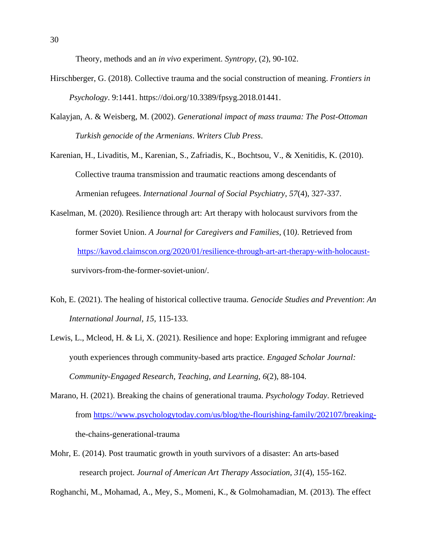Theory, methods and an *in vivo* experiment. *Syntropy*, (2), 90-102.

- Hirschberger, G. (2018). Collective trauma and the social construction of meaning. *Frontiers in Psychology*. 9:1441. https://doi.org/10.3389/fpsyg.2018.01441.
- Kalayjan, A. & Weisberg, M. (2002). *Generational impact of mass trauma: The Post-Ottoman Turkish genocide of the Armenians*. *Writers Club Press*.

Karenian, H., Livaditis, M., Karenian, S., Zafriadis, K., Bochtsou, V., & Xenitidis, K. (2010). Collective trauma transmission and traumatic reactions among descendants of Armenian refugees. *International Journal of Social Psychiatry*, *57*(4), 327-337.

- Kaselman, M. (2020). Resilience through art: Art therapy with holocaust survivors from the former Soviet Union. *A Journal for Caregivers and Families*, (10*)*. Retrieved from [https://kavod.claimscon.org/2020/01/resilience-through-art-art-therapy-with-holocaust](https://kavod.claimscon.org/2020/01/resilience-through-art-art-therapy-with-holocaust-) survivors-from-the-former-soviet-union/.
- Koh, E. (2021). The healing of historical collective trauma. *Genocide Studies and Prevention*: *An International Journal, 15,* 115-133*.*
- Lewis, L., Mcleod, H. & Li, X. (2021). Resilience and hope: Exploring immigrant and refugee youth experiences through community-based arts practice. *Engaged Scholar Journal: Community-Engaged Research, Teaching, and Learning, 6*(2), 88-104.
- Marano, H. (2021). Breaking the chains of generational trauma. *Psychology Today*. Retrieved from [https://www.psychologytoday.com/us/blog/the-flourishing-family/202107/breaking](https://www.psychologytoday.com/us/blog/the-flourishing-family/202107/breaking-)the-chains-generational-trauma
- Mohr, E. (2014). Post traumatic growth in youth survivors of a disaster: An arts-based research project. *Journal of American Art Therapy Association*, *31*(4), 155-162.

Roghanchi, M., Mohamad, A., Mey, S., Momeni, K., & Golmohamadian, M. (2013). The effect